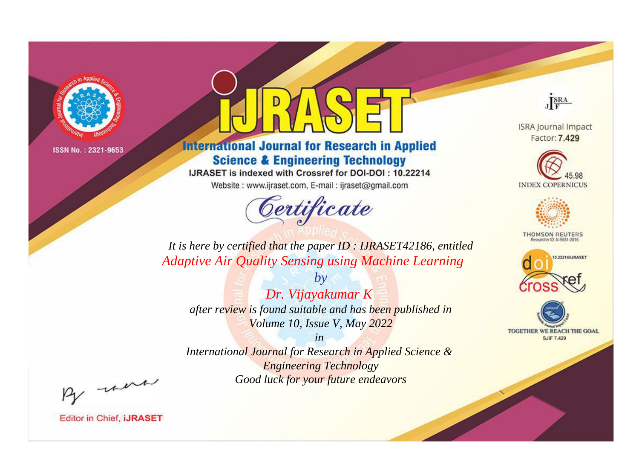

## **International Journal for Research in Applied Science & Engineering Technology**

IJRASET is indexed with Crossref for DOI-DOI: 10.22214

Website: www.ijraset.com, E-mail: ijraset@gmail.com



JERA

**ISRA Journal Impact** Factor: 7.429





**THOMSON REUTERS** 



TOGETHER WE REACH THE GOAL **SJIF 7.429** 

*It is here by certified that the paper ID : IJRASET42186, entitled Adaptive Air Quality Sensing using Machine Learning*

*by Dr. Vijayakumar K after review is found suitable and has been published in Volume 10, Issue V, May 2022*

*in* 

*International Journal for Research in Applied Science & Engineering Technology Good luck for your future endeavors*

By morn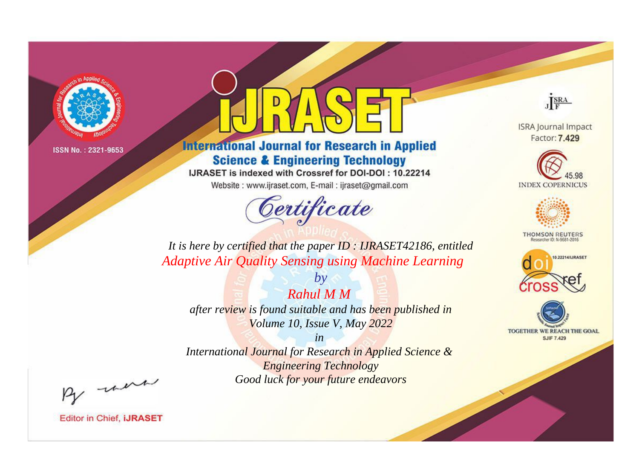

## **International Journal for Research in Applied Science & Engineering Technology**

IJRASET is indexed with Crossref for DOI-DOI: 10.22214

Website: www.ijraset.com, E-mail: ijraset@gmail.com



JERA

**ISRA Journal Impact** Factor: 7.429





**THOMSON REUTERS** 



TOGETHER WE REACH THE GOAL **SJIF 7.429** 

*It is here by certified that the paper ID : IJRASET42186, entitled Adaptive Air Quality Sensing using Machine Learning*

*Rahul M M after review is found suitable and has been published in Volume 10, Issue V, May 2022*

*by*

*in* 

*International Journal for Research in Applied Science & Engineering Technology Good luck for your future endeavors*

By morn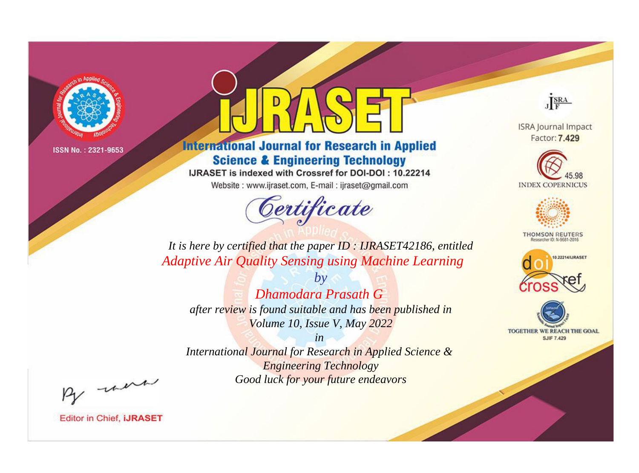

# **International Journal for Research in Applied Science & Engineering Technology**

IJRASET is indexed with Crossref for DOI-DOI : 10.22214

Website: www.ijraset.com, E-mail: ijraset@gmail.com



JERA

**ISRA Journal Impact** Factor: 7.429





**THOMSON REUTERS** 



TOGETHER WE REACH THE GOAL **SJIF 7.429** 

It is here by certified that the paper ID : IJRASET42186, entitled **Adaptive Air Quality Sensing using Machine Learning** 

 $b\nu$ Dhamodara Prasath G after review is found suitable and has been published in Volume 10, Issue V, May 2022

 $in$ International Journal for Research in Applied Science & **Engineering Technology** Good luck for your future endeavors

By morn